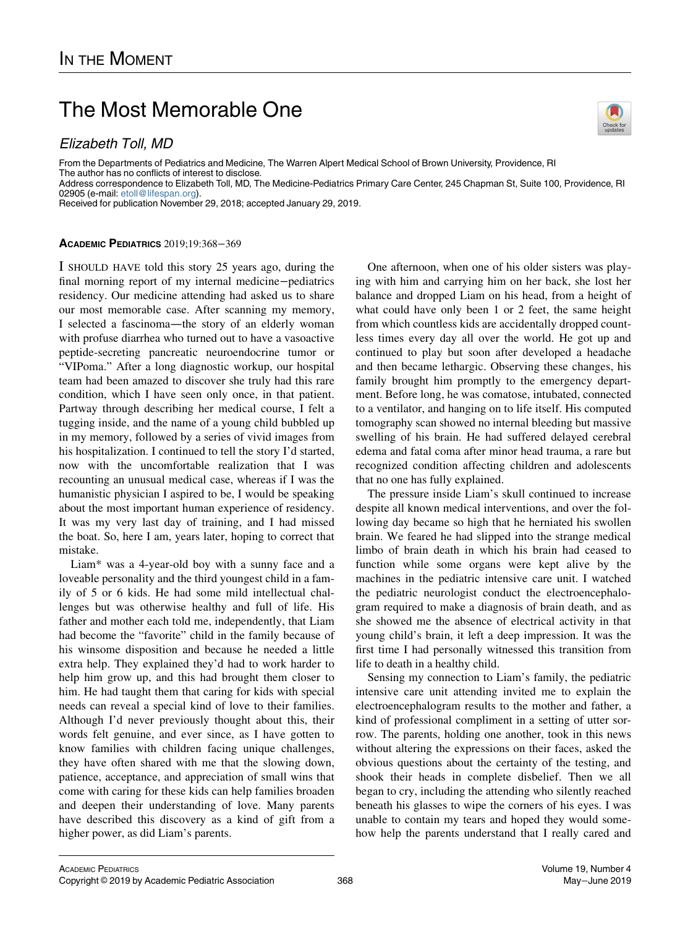# The Most Memorable One

## Elizabeth Toll, MD

From the Departments of Pediatrics and Medicine, The Warren Alpert Medical School of Brown University, Providence, RI The author has no conflicts of interest to disclose. Address correspondence to Elizabeth Toll, MD, The Medicine-Pediatrics Primary Care Center, 245 Chapman St, Suite 100, Providence, RI 02905 (e-mail: [etoll@lifespan.org](mailto:etoll@lifespan.org)).

Received for publication November 29, 2018; accepted January 29, 2019.

### ACADEMIC PEDIATRICS 2019;19:368−369

I SHOULD HAVE told this story 25 years ago, during the final morning report of my internal medicine−pediatrics residency. Our medicine attending had asked us to share our most memorable case. After scanning my memory, I selected a fascinoma—the story of an elderly woman with profuse diarrhea who turned out to have a vasoactive peptide-secreting pancreatic neuroendocrine tumor or "VIPoma." After a long diagnostic workup, our hospital team had been amazed to discover she truly had this rare condition, which I have seen only once, in that patient. Partway through describing her medical course, I felt a tugging inside, and the name of a young child bubbled up in my memory, followed by a series of vivid images from his hospitalization. I continued to tell the story I'd started, now with the uncomfortable realization that I was recounting an unusual medical case, whereas if I was the humanistic physician I aspired to be, I would be speaking about the most important human experience of residency. It was my very last day of training, and I had missed the boat. So, here I am, years later, hoping to correct that mistake.

Liam\* was a 4-year-old boy with a sunny face and a loveable personality and the third youngest child in a family of 5 or 6 kids. He had some mild intellectual challenges but was otherwise healthy and full of life. His father and mother each told me, independently, that Liam had become the "favorite" child in the family because of his winsome disposition and because he needed a little extra help. They explained they'd had to work harder to help him grow up, and this had brought them closer to him. He had taught them that caring for kids with special needs can reveal a special kind of love to their families. Although I'd never previously thought about this, their words felt genuine, and ever since, as I have gotten to know families with children facing unique challenges, they have often shared with me that the slowing down, patience, acceptance, and appreciation of small wins that come with caring for these kids can help families broaden and deepen their understanding of love. Many parents have described this discovery as a kind of gift from a higher power, as did Liam's parents.

One afternoon, when one of his older sisters was playing with him and carrying him on her back, she lost her balance and dropped Liam on his head, from a height of what could have only been 1 or 2 feet, the same height from which countless kids are accidentally dropped countless times every day all over the world. He got up and continued to play but soon after developed a headache and then became lethargic. Observing these changes, his family brought him promptly to the emergency department. Before long, he was comatose, intubated, connected to a ventilator, and hanging on to life itself. His computed tomography scan showed no internal bleeding but massive swelling of his brain. He had suffered delayed cerebral edema and fatal coma after minor head trauma, a rare but recognized condition affecting children and adolescents that no one has fully explained.

The pressure inside Liam's skull continued to increase despite all known medical interventions, and over the following day became so high that he herniated his swollen brain. We feared he had slipped into the strange medical limbo of brain death in which his brain had ceased to function while some organs were kept alive by the machines in the pediatric intensive care unit. I watched the pediatric neurologist conduct the electroencephalogram required to make a diagnosis of brain death, and as she showed me the absence of electrical activity in that young child's brain, it left a deep impression. It was the first time I had personally witnessed this transition from life to death in a healthy child.

Sensing my connection to Liam's family, the pediatric intensive care unit attending invited me to explain the electroencephalogram results to the mother and father, a kind of professional compliment in a setting of utter sorrow. The parents, holding one another, took in this news without altering the expressions on their faces, asked the obvious questions about the certainty of the testing, and shook their heads in complete disbelief. Then we all began to cry, including the attending who silently reached beneath his glasses to wipe the corners of his eyes. I was unable to contain my tears and hoped they would somehow help the parents understand that I really cared and